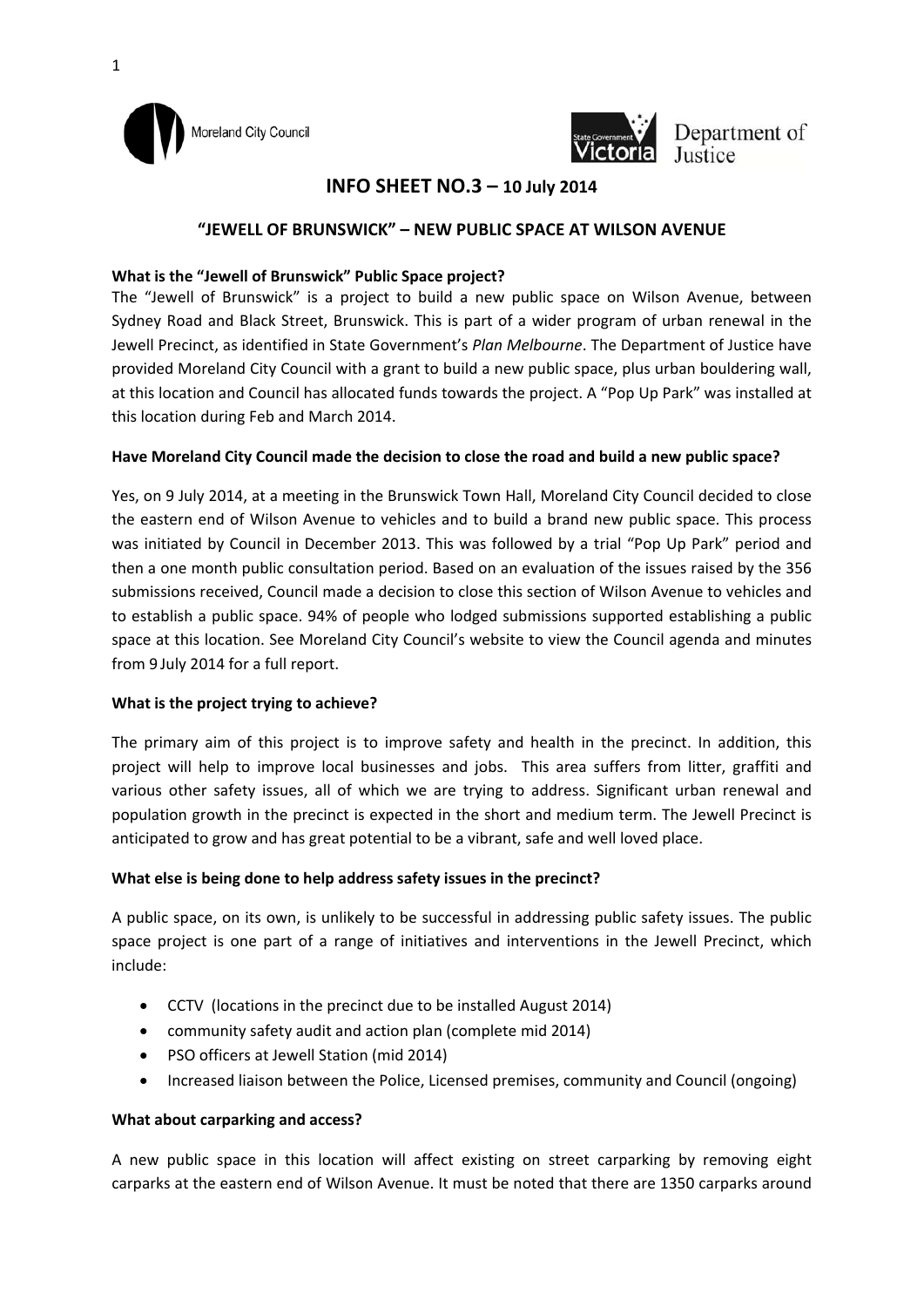



Department of

# **INFO SHEET NO.3 – 10 July 2014**

## **"JEWELL OF BRUNSWICK" – NEW PUBLIC SPACE AT WILSON AVENUE**

## **What is the "Jewell of Brunswick" Public Space project?**

The "Jewell of Brunswick" is a project to build a new public space on Wilson Avenue, between Sydney Road and Black Street, Brunswick. This is part of a wider program of urban renewal in the Jewell Precinct, as identified in State Government's *Plan Melbourne*. The Department of Justice have provided Moreland City Council with a grant to build a new public space, plus urban bouldering wall, at this location and Council has allocated funds towards the project. A "Pop Up Park" was installed at this location during Feb and March 2014.

## **Have Moreland City Council made the decision to close the road and build a new public space?**

Yes, on 9 July 2014, at a meeting in the Brunswick Town Hall, Moreland City Council decided to close the eastern end of Wilson Avenue to vehicles and to build a brand new public space. This process was initiated by Council in December 2013. This was followed by a trial "Pop Up Park" period and then a one month public consultation period. Based on an evaluation of the issues raised by the 356 submissions received, Council made a decision to close this section of Wilson Avenue to vehicles and to establish a public space. 94% of people who lodged submissions supported establishing a public space at this location. See Moreland City Council's website to view the Council agenda and minutes from 9 July 2014 for a full report.

#### **What is the project trying to achieve?**

The primary aim of this project is to improve safety and health in the precinct. In addition, this project will help to improve local businesses and jobs. This area suffers from litter, graffiti and various other safety issues, all of which we are trying to address. Significant urban renewal and population growth in the precinct is expected in the short and medium term. The Jewell Precinct is anticipated to grow and has great potential to be a vibrant, safe and well loved place.

#### **What else is being done to help address safety issues in the precinct?**

A public space, on its own, is unlikely to be successful in addressing public safety issues. The public space project is one part of a range of initiatives and interventions in the Jewell Precinct, which include:

- CCTV (locations in the precinct due to be installed August 2014)
- community safety audit and action plan (complete mid 2014)
- PSO officers at Jewell Station (mid 2014)
- Increased liaison between the Police, Licensed premises, community and Council (ongoing)

## **What about carparking and access?**

A new public space in this location will affect existing on street carparking by removing eight carparks at the eastern end of Wilson Avenue. It must be noted that there are 1350 carparks around